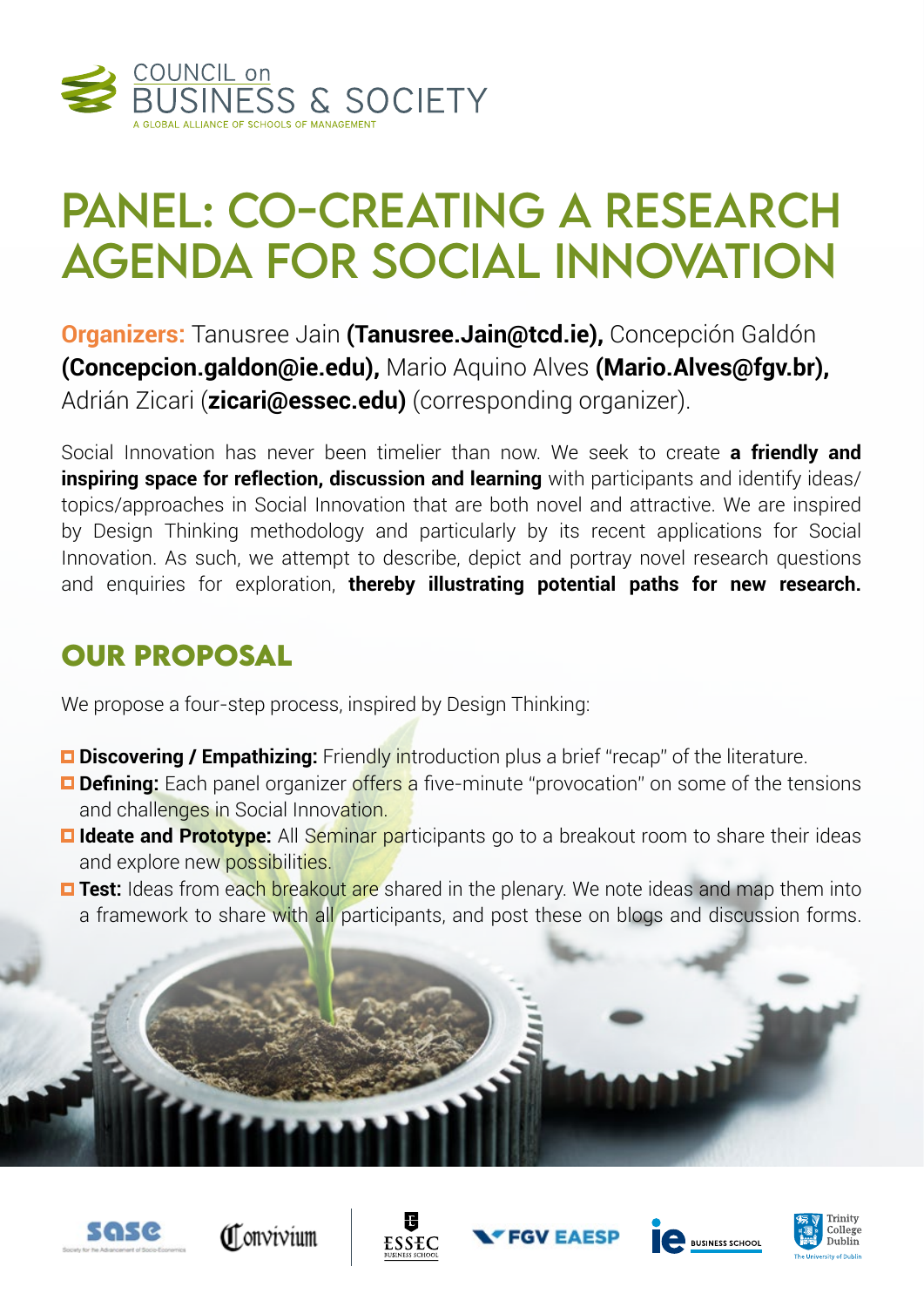

# Panel: Co-creating a Research Agenda for Social Innovation

**Organizers:** Tanusree Jain **(Tanusree.Jain@tcd.ie),** Concepción Galdón **(Concepcion.galdon@ie.edu),** Mario Aquino Alves **(Mario.Alves@fgv.br),** Adrián Zicari (**zicari@essec.edu)** (corresponding organizer).

Social Innovation has never been timelier than now. We seek to create **a friendly and inspiring space for reflection, discussion and learning** with participants and identify ideas/ topics/approaches in Social Innovation that are both novel and attractive. We are inspired by Design Thinking methodology and particularly by its recent applications for Social Innovation. As such, we attempt to describe, depict and portray novel research questions and enquiries for exploration, **thereby illustrating potential paths for new research.**

### **OUR PROPOSAL**

We propose a four-step process, inspired by Design Thinking:

- **Discovering / Empathizing:** Friendly introduction plus a brief "recap" of the literature.
- **Defining:** Each panel organizer offers a five-minute "provocation" on some of the tensions and challenges in Social Innovation.
- **Ideate and Prototype:** All Seminar participants go to a breakout room to share their ideas and explore new possibilities.
- **Test:** Ideas from each breakout are shared in the plenary. We note ideas and map them into a framework to share with all participants, and post these on blogs and discussion forms.